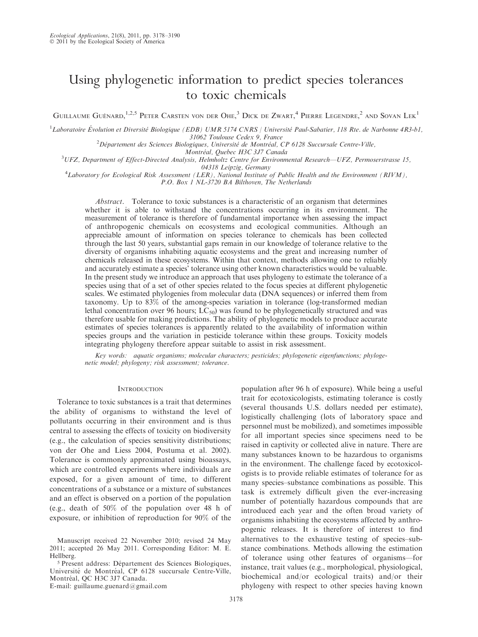# Using phylogenetic information to predict species tolerances to toxic chemicals

GUILLAUME GUÉNARD, <sup>1,2,5</sup> Peter Carsten von der Ohe, <sup>3</sup> Dick de Zwart, <sup>4</sup> Pierre Legendre, <sup>2</sup> and Sovan Lek<sup>1</sup>

<sup>1</sup>Laboratoire Évolution et Diversité Biologique (EDB) UMR 5174 CNRS / Université Paul-Sabatier, 118 Rte. de Narbonne 4R3-b1,

31062 Toulouse Cedex 9, France<br>Département des Sciences Biologiques, Université de Montréal, CP 6128 Succursale Centre-Ville,<sup>2</sup>

Montréal, Quebec H3C 3J7 Canada<br>3UFZ, Department of Effect-Directed Analysis, Helmholtz Centre for Environmental Research—UFZ, Permoserstrasse 15,

04318 Leipzig, Germany<br><sup>4</sup>Laboratory for Ecological Risk Assessment (LER), National Institute of Public Health and the Environment (RIVM),

P.O. Box 1 NL-3720 BA Bilthoven, The Netherlands

Abstract. Tolerance to toxic substances is a characteristic of an organism that determines whether it is able to withstand the concentrations occurring in its environment. The measurement of tolerance is therefore of fundamental importance when assessing the impact of anthropogenic chemicals on ecosystems and ecological communities. Although an appreciable amount of information on species tolerance to chemicals has been collected through the last 50 years, substantial gaps remain in our knowledge of tolerance relative to the diversity of organisms inhabiting aquatic ecosystems and the great and increasing number of chemicals released in these ecosystems. Within that context, methods allowing one to reliably and accurately estimate a species' tolerance using other known characteristics would be valuable. In the present study we introduce an approach that uses phylogeny to estimate the tolerance of a species using that of a set of other species related to the focus species at different phylogenetic scales. We estimated phylogenies from molecular data (DNA sequences) or inferred them from taxonomy. Up to 83% of the among-species variation in tolerance (log-transformed median lethal concentration over 96 hours;  $LC_{50}$ ) was found to be phylogenetically structured and was therefore usable for making predictions. The ability of phylogenetic models to produce accurate estimates of species tolerances is apparently related to the availability of information within species groups and the variation in pesticide tolerance within these groups. Toxicity models integrating phylogeny therefore appear suitable to assist in risk assessment.

Key words: aquatic organisms; molecular characters; pesticides; phylogenetic eigenfunctions; phylogenetic model; phylogeny; risk assessment; tolerance.

## **INTRODUCTION**

Tolerance to toxic substances is a trait that determines the ability of organisms to withstand the level of pollutants occurring in their environment and is thus central to assessing the effects of toxicity on biodiversity (e.g., the calculation of species sensitivity distributions; von der Ohe and Liess 2004, Postuma et al. 2002). Tolerance is commonly approximated using bioassays, which are controlled experiments where individuals are exposed, for a given amount of time, to different concentrations of a substance or a mixture of substances and an effect is observed on a portion of the population (e.g., death of 50% of the population over 48 h of exposure, or inhibition of reproduction for 90% of the

<sup>5</sup> Present address: Département des Sciences Biologiques, Université de Montréal, CP 6128 succursale Centre-Ville, Montréal, QC H3C 3J7 Canada.

E-mail: guillaume.guenard@gmail.com

population after 96 h of exposure). While being a useful trait for ecotoxicologists, estimating tolerance is costly (several thousands U.S. dollars needed per estimate), logistically challenging (lots of laboratory space and personnel must be mobilized), and sometimes impossible for all important species since specimens need to be raised in captivity or collected alive in nature. There are many substances known to be hazardous to organisms in the environment. The challenge faced by ecotoxicologists is to provide reliable estimates of tolerance for as many species–substance combinations as possible. This task is extremely difficult given the ever-increasing number of potentially hazardous compounds that are introduced each year and the often broad variety of organisms inhabiting the ecosystems affected by anthropogenic releases. It is therefore of interest to find alternatives to the exhaustive testing of species–substance combinations. Methods allowing the estimation of tolerance using other features of organisms—for instance, trait values (e.g., morphological, physiological, biochemical and/or ecological traits) and/or their phylogeny with respect to other species having known

Manuscript received 22 November 2010; revised 24 May 2011; accepted 26 May 2011. Corresponding Editor: M. E. Hellberg.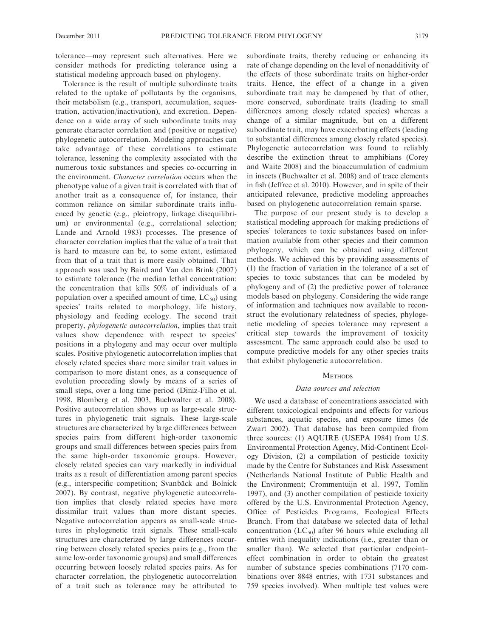tolerance—may represent such alternatives. Here we consider methods for predicting tolerance using a statistical modeling approach based on phylogeny.

Tolerance is the result of multiple subordinate traits related to the uptake of pollutants by the organisms, their metabolism (e.g., transport, accumulation, sequestration, activation/inactivation), and excretion. Dependence on a wide array of such subordinate traits may generate character correlation and (positive or negative) phylogenetic autocorrelation. Modeling approaches can take advantage of these correlations to estimate tolerance, lessening the complexity associated with the numerous toxic substances and species co-occurring in the environment. Character correlation occurs when the phenotype value of a given trait is correlated with that of another trait as a consequence of, for instance, their common reliance on similar subordinate traits influenced by genetic (e.g., pleiotropy, linkage disequilibrium) or environmental (e.g., correlational selection; Lande and Arnold 1983) processes. The presence of character correlation implies that the value of a trait that is hard to measure can be, to some extent, estimated from that of a trait that is more easily obtained. That approach was used by Baird and Van den Brink (2007) to estimate tolerance (the median lethal concentration: the concentration that kills 50% of individuals of a population over a specified amount of time,  $LC_{50}$ ) using species' traits related to morphology, life history, physiology and feeding ecology. The second trait property, phylogenetic autocorrelation, implies that trait values show dependence with respect to species' positions in a phylogeny and may occur over multiple scales. Positive phylogenetic autocorrelation implies that closely related species share more similar trait values in comparison to more distant ones, as a consequence of evolution proceeding slowly by means of a series of small steps, over a long time period (Diniz-Filho et al. 1998, Blomberg et al. 2003, Buchwalter et al. 2008). Positive autocorrelation shows up as large-scale structures in phylogenetic trait signals. These large-scale structures are characterized by large differences between species pairs from different high-order taxonomic groups and small differences between species pairs from the same high-order taxonomic groups. However, closely related species can vary markedly in individual traits as a result of differentiation among parent species (e.g., interspecific competition; Svanbäck and Bolnick 2007). By contrast, negative phylogenetic autocorrelation implies that closely related species have more dissimilar trait values than more distant species. Negative autocorrelation appears as small-scale structures in phylogenetic trait signals. These small-scale structures are characterized by large differences occurring between closely related species pairs (e.g., from the same low-order taxonomic groups) and small differences occurring between loosely related species pairs. As for character correlation, the phylogenetic autocorrelation of a trait such as tolerance may be attributed to subordinate traits, thereby reducing or enhancing its rate of change depending on the level of nonadditivity of the effects of those subordinate traits on higher-order traits. Hence, the effect of a change in a given subordinate trait may be dampened by that of other, more conserved, subordinate traits (leading to small differences among closely related species) whereas a change of a similar magnitude, but on a different subordinate trait, may have exacerbating effects (leading to substantial differences among closely related species). Phylogenetic autocorrelation was found to reliably describe the extinction threat to amphibians (Corey and Waite 2008) and the bioaccumulation of cadmium in insects (Buchwalter et al. 2008) and of trace elements in fish (Jeffree et al. 2010). However, and in spite of their anticipated relevance, predictive modeling approaches based on phylogenetic autocorrelation remain sparse.

The purpose of our present study is to develop a statistical modeling approach for making predictions of species' tolerances to toxic substances based on information available from other species and their common phylogeny, which can be obtained using different methods. We achieved this by providing assessments of (1) the fraction of variation in the tolerance of a set of species to toxic substances that can be modeled by phylogeny and of (2) the predictive power of tolerance models based on phylogeny. Considering the wide range of information and techniques now available to reconstruct the evolutionary relatedness of species, phylogenetic modeling of species tolerance may represent a critical step towards the improvement of toxicity assessment. The same approach could also be used to compute predictive models for any other species traits that exhibit phylogenetic autocorrelation.

### **METHODS**

## Data sources and selection

We used a database of concentrations associated with different toxicological endpoints and effects for various substances, aquatic species, and exposure times (de Zwart 2002). That database has been compiled from three sources: (1) AQUIRE (USEPA 1984) from U.S. Environmental Protection Agency, Mid-Continent Ecology Division, (2) a compilation of pesticide toxicity made by the Centre for Substances and Risk Assessment (Netherlands National Institute of Public Health and the Environment; Crommentuijn et al. 1997, Tomlin 1997), and (3) another compilation of pesticide toxicity offered by the U.S. Environmental Protection Agency, Office of Pesticides Programs, Ecological Effects Branch. From that database we selected data of lethal concentration  $(LC_{50})$  after 96 hours while excluding all entries with inequality indications (i.e., greater than or smaller than). We selected that particular endpoint– effect combination in order to obtain the greatest number of substance–species combinations (7170 combinations over 8848 entries, with 1731 substances and 759 species involved). When multiple test values were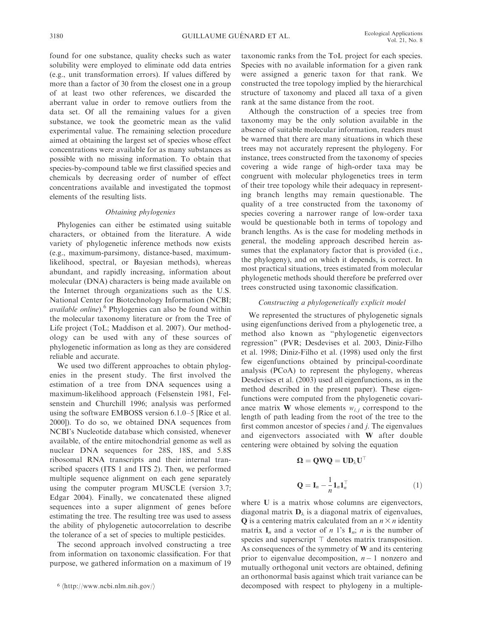found for one substance, quality checks such as water solubility were employed to eliminate odd data entries (e.g., unit transformation errors). If values differed by more than a factor of 30 from the closest one in a group of at least two other references, we discarded the aberrant value in order to remove outliers from the data set. Of all the remaining values for a given substance, we took the geometric mean as the valid experimental value. The remaining selection procedure aimed at obtaining the largest set of species whose effect concentrations were available for as many substances as possible with no missing information. To obtain that species-by-compound table we first classified species and chemicals by decreasing order of number of effect concentrations available and investigated the topmost elements of the resulting lists.

## Obtaining phylogenies

Phylogenies can either be estimated using suitable characters, or obtained from the literature. A wide variety of phylogenetic inference methods now exists (e.g., maximum-parsimony, distance-based, maximumlikelihood, spectral, or Bayesian methods), whereas abundant, and rapidly increasing, information about molecular (DNA) characters is being made available on the Internet through organizations such as the U.S. National Center for Biotechnology Information (NCBI; available online).<sup>6</sup> Phylogenies can also be found within the molecular taxonomy literature or from the Tree of Life project (ToL; Maddison et al. 2007). Our methodology can be used with any of these sources of phylogenetic information as long as they are considered reliable and accurate.

We used two different approaches to obtain phylogenies in the present study. The first involved the estimation of a tree from DNA sequences using a maximum-likelihood approach (Felsenstein 1981, Felsenstein and Churchill 1996; analysis was performed using the software EMBOSS version 6.1.0–5 [Rice et al. 2000]). To do so, we obtained DNA sequences from NCBI's Nucleotide database which consisted, whenever available, of the entire mitochondrial genome as well as nuclear DNA sequences for 28S, 18S, and 5.8S ribosomal RNA transcripts and their internal transcribed spacers (ITS 1 and ITS 2). Then, we performed multiple sequence alignment on each gene separately using the computer program MUSCLE (version 3.7; Edgar 2004). Finally, we concatenated these aligned sequences into a super alignment of genes before estimating the tree. The resulting tree was used to assess the ability of phylogenetic autocorrelation to describe the tolerance of a set of species to multiple pesticides.

The second approach involved constructing a tree from information on taxonomic classification. For that purpose, we gathered information on a maximum of 19 taxonomic ranks from the ToL project for each species. Species with no available information for a given rank were assigned a generic taxon for that rank. We constructed the tree topology implied by the hierarchical structure of taxonomy and placed all taxa of a given rank at the same distance from the root.

Although the construction of a species tree from taxonomy may be the only solution available in the absence of suitable molecular information, readers must be warned that there are many situations in which these trees may not accurately represent the phylogeny. For instance, trees constructed from the taxonomy of species covering a wide range of high-order taxa may be congruent with molecular phylogenetics trees in term of their tree topology while their adequacy in representing branch lengths may remain questionable. The quality of a tree constructed from the taxonomy of species covering a narrower range of low-order taxa would be questionable both in terms of topology and branch lengths. As is the case for modeling methods in general, the modeling approach described herein assumes that the explanatory factor that is provided (i.e., the phylogeny), and on which it depends, is correct. In most practical situations, trees estimated from molecular phylogenetic methods should therefore be preferred over trees constructed using taxonomic classification.

## Constructing a phylogenetically explicit model

We represented the structures of phylogenetic signals using eigenfunctions derived from a phylogenetic tree, a method also known as ''phylogenetic eigenvectors regression'' (PVR; Desdevises et al. 2003, Diniz-Filho et al. 1998; Diniz-Filho et al. (1998) used only the first few eigenfunctions obtained by principal-coordinate analysis (PCoA) to represent the phylogeny, whereas Desdevises et al. (2003) used all eigenfunctions, as in the method described in the present paper). These eigenfunctions were computed from the phylogenetic covariance matrix **W** whose elements  $w_{i,j}$  correspond to the length of path leading from the root of the tree to the first common ancestor of species  $i$  and  $j$ . The eigenvalues and eigenvectors associated with W after double centering were obtained by solving the equation

$$
\Omega = QWQ = UD_{\lambda}U^{\top}
$$
  

$$
Q = I_n - \frac{1}{n}I_nI_n^{\top}
$$
 (1)

where U is a matrix whose columns are eigenvectors, diagonal matrix  $\mathbf{D}_{\lambda}$  is a diagonal matrix of eigenvalues, **Q** is a centering matrix calculated from an  $n \times n$  identity matrix  $I_n$  and a vector of n 1's  $I_n$ ; n is the number of species and superscript  $\top$  denotes matrix transposition. As consequences of the symmetry of W and its centering prior to eigenvalue decomposition,  $n-1$  nonzero and mutually orthogonal unit vectors are obtained, defining an orthonormal basis against which trait variance can be  $\delta$  (http://www.ncbi.nlm.nih.gov/) decomposed with respect to phylogeny in a multiple-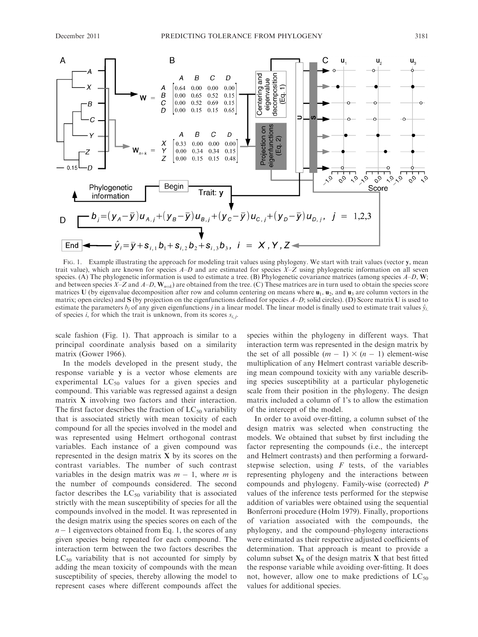

FIG. 1. Example illustrating the approach for modeling trait values using phylogeny. We start with trait values (vector y, mean trait value), which are known for species  $A-D$  and are estimated for species  $X-Z$  using phylogenetic information on all seven species. (A) The phylogenetic information is used to estimate a tree. (B) Phylogenetic covariance matrices (among species  $A-D$ , W; and between species  $X-Z$  and  $A-D$ ,  $W_{n+k}$  are obtained from the tree. (C) These matrices are in turn used to obtain the species score matrices U (by eigenvalue decomposition after row and column centering on means where  $\mathbf{u}_1$ ,  $\mathbf{u}_2$ , and  $\mathbf{u}_3$  are column vectors in the matrix; open circles) and  $S$  (by projection on the eigenfunctions defined for species  $A-D$ ; solid circles). (D) Score matrix U is used to estimate the parameters  $b_i$  of any given eigenfunctions j in a linear model. The linear model is finally used to estimate trait values  $\hat{y_i}$ of species i, for which the trait is unknown, from its scores  $s_{i,j}$ .

scale fashion (Fig. 1). That approach is similar to a principal coordinate analysis based on a similarity matrix (Gower 1966).

In the models developed in the present study, the response variable y is a vector whose elements are experimental  $LC_{50}$  values for a given species and compound. This variable was regressed against a design matrix X involving two factors and their interaction. The first factor describes the fraction of  $LC_{50}$  variability that is associated strictly with mean toxicity of each compound for all the species involved in the model and was represented using Helmert orthogonal contrast variables. Each instance of a given compound was represented in the design matrix  $X$  by its scores on the contrast variables. The number of such contrast variables in the design matrix was  $m - 1$ , where m is the number of compounds considered. The second factor describes the  $LC_{50}$  variability that is associated strictly with the mean susceptibility of species for all the compounds involved in the model. It was represented in the design matrix using the species scores on each of the  $n-1$  eigenvectors obtained from Eq. 1, the scores of any given species being repeated for each compound. The interaction term between the two factors describes the  $LC_{50}$  variability that is not accounted for simply by adding the mean toxicity of compounds with the mean susceptibility of species, thereby allowing the model to represent cases where different compounds affect the species within the phylogeny in different ways. That interaction term was represented in the design matrix by the set of all possible  $(m - 1) \times (n - 1)$  element-wise multiplication of any Helmert contrast variable describing mean compound toxicity with any variable describing species susceptibility at a particular phylogenetic scale from their position in the phylogeny. The design matrix included a column of 1's to allow the estimation of the intercept of the model.

In order to avoid over-fitting, a column subset of the design matrix was selected when constructing the models. We obtained that subset by first including the factor representing the compounds (i.e., the intercept and Helmert contrasts) and then performing a forwardstepwise selection, using  $F$  tests, of the variables representing phylogeny and the interactions between compounds and phylogeny. Family-wise (corrected) P values of the inference tests performed for the stepwise addition of variables were obtained using the sequential Bonferroni procedure (Holm 1979). Finally, proportions of variation associated with the compounds, the phylogeny, and the compound–phylogeny interactions were estimated as their respective adjusted coefficients of determination. That approach is meant to provide a column subset  $X<sub>S</sub>$  of the design matrix X that best fitted the response variable while avoiding over-fitting. It does not, however, allow one to make predictions of  $LC_{50}$ values for additional species.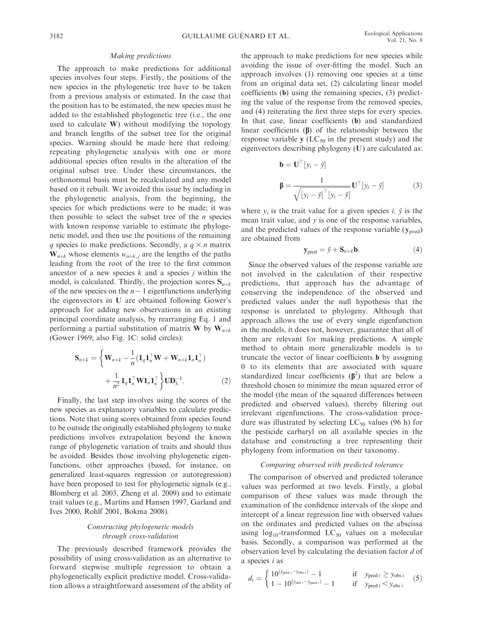## Making predictions

The approach to make predictions for additional species involves four steps. Firstly, the positions of the new species in the phylogenetic tree have to be taken from a previous analysis or estimated. In the case that the position has to be estimated, the new species must be added to the established phylogenetic tree (i.e., the one used to calculate W) without modifying the topology and branch lengths of the subset tree for the original species. Warning should be made here that redoing/ repeating phylogenetic analysis with one or more additional species often results in the alteration of the original subset tree. Under these circumstances, the orthonormal basis must be recalculated and any model based on it rebuilt. We avoided this issue by including in the phylogenetic analysis, from the beginning, the species for which predictions were to be made; it was then possible to select the subset tree of the  $n$  species with known response variable to estimate the phylogenetic model, and then use the positions of the remaining q species to make predictions. Secondly, a  $q \times n$  matrix  $W_{n+k}$  whose elements  $W_{n+k,j}$  are the lengths of the paths leading from the root of the tree to the first common ancestor of a new species  $k$  and a species  $j$  within the model, is calculated. Thirdly, the projection scores  $S_{n+k}$ of the new species on the  $n-1$  eigenfunctions underlying the eigenvectors in U are obtained following Gower's approach for adding new observations in an existing principal coordinate analysis, by rearranging Eq. 1 and performing a partial substitution of matrix W by  $W_{n+k}$ (Gower 1969; also Fig. 1C: solid circles):

$$
\mathbf{S}_{n+k} = \left\{ \mathbf{W}_{n+k} - \frac{1}{n} (\mathbf{1}_q \mathbf{1}_n^\top \mathbf{W} + \mathbf{W}_{n+k} \mathbf{1}_n \mathbf{1}_n^\top) + \frac{1}{n^2} \mathbf{1}_q \mathbf{1}_n^\top \mathbf{W} \mathbf{1}_n \mathbf{1}_n^\top \right\} \mathbf{U} \mathbf{D}_{\lambda}^{-1}.
$$
 (2)

Finally, the last step involves using the scores of the new species as explanatory variables to calculate predictions. Note that using scores obtained from species found to be outside the originally established phylogeny to make predictions involves extrapolation beyond the known range of phylogenetic variation of traits and should thus be avoided. Besides those involving phylogenetic eigenfunctions, other approaches (based, for instance, on generalized least-squares regression or autoregression) have been proposed to test for phylogenetic signals (e.g., Blomberg et al. 2003, Zheng et al. 2009) and to estimate trait values (e.g., Martins and Hansen 1997, Garland and Ives 2000, Rohlf 2001, Bokma 2008).

## Constructing phylogenetic models through cross-validation

The previously described framework provides the possibility of using cross-validation as an alternative to forward stepwise multiple regression to obtain a phylogenetically explicit predictive model. Cross-validation allows a straightforward assessment of the ability of the approach to make predictions for new species while avoiding the issue of over-fitting the model. Such an approach involves (1) removing one species at a time from an original data set, (2) calculating linear model coefficients (b) using the remaining species, (3) predicting the value of the response from the removed species, and (4) reiterating the first three steps for every species. In that case, linear coefficients (b) and standardized linear coefficients  $(\beta)$  of the relationship between the response variable y  $(LC_{50}$  in the present study) and the eigenvectors describing phylogeny (U) are calculated as:

$$
\mathbf{b} = \mathbf{U}^{\top} [y_i - \bar{y}]
$$
  

$$
\mathbf{\beta} = \frac{1}{\sqrt{[y_i - \bar{y}]}^{\top} [y_i - \bar{y}]} \mathbf{U}^{\top} [y_i - \bar{y}]
$$
 (3)

where  $y_i$  is the trait value for a given species i,  $\bar{y}$  is the mean trait value, and  $y$  is one of the response variables, and the predicted values of the response variable  $(y_{pred})$ are obtained from

$$
\mathbf{y}_{\text{pred}} = \bar{y} + \mathbf{S}_{n+k} \mathbf{b}.\tag{4}
$$

Since the observed values of the response variable are not involved in the calculation of their respective predictions, that approach has the advantage of conserving the independence of the observed and predicted values under the null hypothesis that the response is unrelated to phylogeny. Although that approach allows the use of every single eigenfunction in the models, it does not, however, guarantee that all of them are relevant for making predictions. A simple method to obtain more generalizable models is to truncate the vector of linear coefficients b by assigning 0 to its elements that are associated with square standardized linear coefficients  $(\beta^2)$  that are below a threshold chosen to minimize the mean squared error of the model (the mean of the squared differences between predicted and observed values), thereby filtering out irrelevant eigenfunctions. The cross-validation procedure was illustrated by selecting  $LC_{50}$  values (96 h) for the pesticide carbaryl on all available species in the database and constructing a tree representing their phylogeny from information on their taxonomy.

## Comparing observed with predicted tolerance

The comparison of observed and predicted tolerance values was performed at two levels. Firstly, a global comparison of these values was made through the examination of the confidence intervals of the slope and intercept of a linear regression line with observed values on the ordinates and predicted values on the abscissa using  $log_{10}$ -transformed  $LC_{50}$  values on a molecular basis. Secondly, a comparison was performed at the observation level by calculating the deviation factor d of a species i as

$$
d_i = \begin{cases} 10^{(y_{\text{pred }i} - y_{\text{obs }i})} - 1 & \text{if } y_{\text{pred }i} \ge y_{\text{obs }i} \\ 1 - 10^{(y_{\text{obs }i} - y_{\text{pred }i})} - 1 & \text{if } y_{\text{pred }i} < y_{\text{obs }i} \end{cases} (5)
$$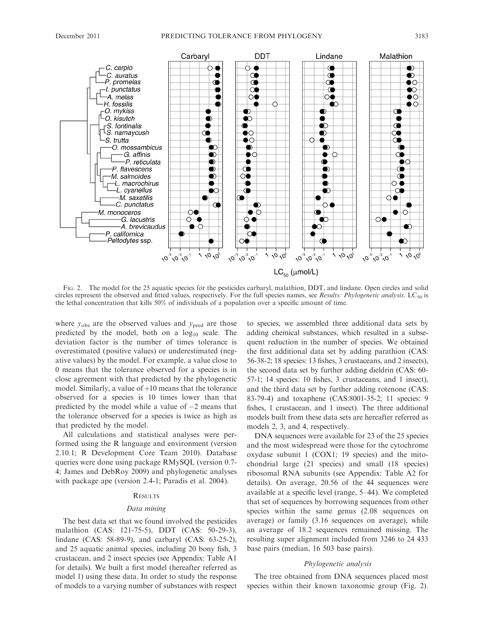

FIG. 2. The model for the 25 aquatic species for the pesticides carbaryl, malathion, DDT, and lindane. Open circles and solid circles represent the observed and fitted values, respectively. For the full species names, see Results: Phylogenetic analysis. LC $_{50}$  is the lethal concentration that kills 50% of individuals of a population over a specific amount of time.

where  $y_{obs}$  are the observed values and  $y_{pred}$  are those predicted by the model, both on a  $log_{10}$  scale. The deviation factor is the number of times tolerance is overestimated (positive values) or underestimated (negative values) by the model. For example, a value close to 0 means that the tolerance observed for a species is in close agreement with that predicted by the phylogenetic model. Similarly, a value of  $+10$  means that the tolerance observed for a species is 10 times lower than that predicted by the model while a value of  $-2$  means that the tolerance observed for a species is twice as high as that predicted by the model.

All calculations and statistical analyses were performed using the R language and environment (version 2.10.1; R Development Core Team 2010). Database queries were done using package RMySQL (version 0.7- 4; James and DebRoy 2009) and phylogenetic analyses with package ape (version 2.4-1; Paradis et al. 2004).

#### **RESULTS**

#### Data mining

The best data set that we found involved the pesticides malathion (CAS: 121-75-5), DDT (CAS: 50-29-3), lindane (CAS: 58-89-9), and carbaryl (CAS: 63-25-2), and 25 aquatic animal species, including 20 bony fish, 3 crustacean, and 2 insect species (see Appendix: Table A1 for details). We built a first model (hereafter referred as model 1) using these data. In order to study the response of models to a varying number of substances with respect to species, we assembled three additional data sets by adding chemical substances, which resulted in a subsequent reduction in the number of species. We obtained the first additional data set by adding parathion (CAS: 56-38-2; 18 species: 13 fishes, 3 crustaceans, and 2 insects), the second data set by further adding dieldrin (CAS: 60- 57-1; 14 species: 10 fishes, 3 crustaceans, and 1 insect), and the third data set by further adding rotenone (CAS: 83-79-4) and toxaphene (CAS:8001-35-2; 11 species: 9 fishes, 1 crustacean, and 1 insect). The three additional models built from these data sets are hereafter referred as models 2, 3, and 4, respectively.

DNA sequences were available for 23 of the 25 species and the most widespread were those for the cytochrome oxydase subunit 1 (COX1; 19 species) and the mitochondrial large (21 species) and small (18 species) ribosomal RNA subunits (see Appendix: Table A2 for details). On average, 20.56 of the 44 sequences were available at a specific level (range, 5–44). We completed that set of sequences by borrowing sequences from other species within the same genus (2.08 sequences on average) or family (3.16 sequences on average), while an average of 18.2 sequences remained missing. The resulting super alignment included from 3246 to 24 433 base pairs (median, 16 503 base pairs).

## Phylogenetic analysis

The tree obtained from DNA sequences placed most species within their known taxonomic group (Fig. 2).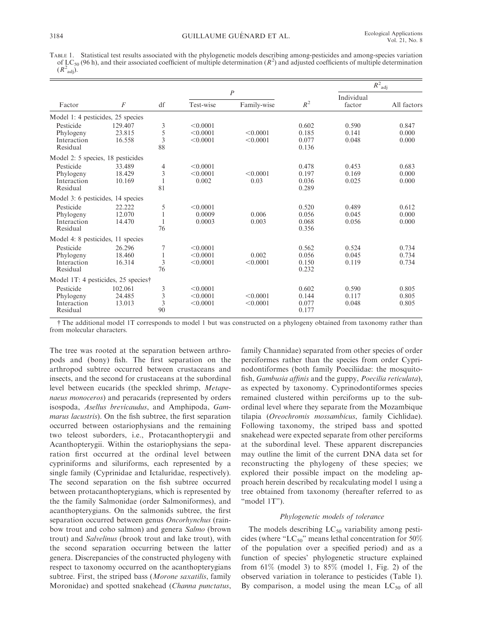TABLE 1. Statistical test results associated with the phylogenetic models describing among-pesticides and among-species variation of LC<sub>50</sub> (96 h), and their associated coefficient of multiple determination ( $R^2$ ) and adjusted coefficients of multiple determination  $(R^2_{\text{adj}})$ .

|                                                   |                             |                         |                                  |                      |                                  | $R^2_{\text{adj}}$      |                         |
|---------------------------------------------------|-----------------------------|-------------------------|----------------------------------|----------------------|----------------------------------|-------------------------|-------------------------|
|                                                   |                             |                         |                                  | $\overline{P}$       |                                  | Individual              |                         |
| Factor                                            | $\overline{F}$              | df                      | Test-wise                        | Family-wise          | $R^2$                            | factor                  | All factors             |
| Model 1: 4 pesticides, 25 species                 |                             |                         |                                  |                      |                                  |                         |                         |
| Pesticide<br>Phylogeny<br>Interaction<br>Residual | 129.407<br>23.815<br>16.558 | 3<br>5<br>3<br>88       | < 0.0001<br>< 0.0001<br>< 0.0001 | < 0.0001<br>< 0.0001 | 0.602<br>0.185<br>0.077<br>0.136 | 0.590<br>0.141<br>0.048 | 0.847<br>0.000<br>0.000 |
| Model 2: 5 species, 18 pesticides                 |                             |                         |                                  |                      |                                  |                         |                         |
| Pesticide<br>Phylogeny<br>Interaction<br>Residual | 33.489<br>18.429<br>10.169  | 4<br>3<br>1<br>81       | < 0.0001<br>< 0.0001<br>0.002    | < 0.0001<br>0.03     | 0.478<br>0.197<br>0.036<br>0.289 | 0.453<br>0.169<br>0.025 | 0.683<br>0.000<br>0.000 |
| Model 3: 6 pesticides, 14 species                 |                             |                         |                                  |                      |                                  |                         |                         |
| Pesticide<br>Phylogeny<br>Interaction<br>Residual | 22.222<br>12.070<br>14.470  | 5<br>$\mathbf{1}$<br>76 | < 0.0001<br>0.0009<br>0.0003     | 0.006<br>0.003       | 0.520<br>0.056<br>0.068<br>0.356 | 0.489<br>0.045<br>0.056 | 0.612<br>0.000<br>0.000 |
| Model 4: 8 pesticides, 11 species                 |                             |                         |                                  |                      |                                  |                         |                         |
| Pesticide<br>Phylogeny<br>Interaction<br>Residual | 26.296<br>18.460<br>16.314  | 7<br>1<br>3<br>76       | < 0.0001<br>< 0.0001<br>< 0.0001 | 0.002<br>< 0.0001    | 0.562<br>0.056<br>0.150<br>0.232 | 0.524<br>0.045<br>0.119 | 0.734<br>0.734<br>0.734 |
| Model 1T: 4 pesticides, 25 species†               |                             |                         |                                  |                      |                                  |                         |                         |
| Pesticide<br>Phylogeny<br>Interaction<br>Residual | 102.061<br>24.485<br>13.013 | 3<br>3<br>3<br>90       | < 0.0001<br>< 0.0001<br>< 0.0001 | < 0.0001<br>< 0.0001 | 0.602<br>0.144<br>0.077<br>0.177 | 0.590<br>0.117<br>0.048 | 0.805<br>0.805<br>0.805 |

- The additional model 1T corresponds to model 1 but was constructed on a phylogeny obtained from taxonomy rather than from molecular characters.

The tree was rooted at the separation between arthropods and (bony) fish. The first separation on the arthropod subtree occurred between crustaceans and insects, and the second for crustaceans at the subordinal level between eucarids (the speckled shrimp, Metapenaeus monoceros) and peracarids (represented by orders isospoda, Asellus brevicaudus, and Amphipoda, Gammarus lacustris). On the fish subtree, the first separation occurred between ostariophysians and the remaining two teleost suborders, i.e., Protacanthopterygii and Acanthopterygii. Within the ostariophysians the separation first occurred at the ordinal level between cypriniforms and siluriforms, each represented by a single family (Cyprinidae and Ictaluridae, respectively). The second separation on the fish subtree occurred between protacanthopterygians, which is represented by the the family Salmonidae (order Salmoniformes), and acanthopterygians. On the salmonids subtree, the first separation occurred between genus Oncorhynchus (rainbow trout and coho salmon) and genera Salmo (brown trout) and Salvelinus (brook trout and lake trout), with the second separation occurring between the latter genera. Discrepancies of the constructed phylogeny with respect to taxonomy occurred on the acanthopterygians subtree. First, the striped bass (Morone saxatilis, family Moronidae) and spotted snakehead (Channa punctatus, family Channidae) separated from other species of order perciformes rather than the species from order Cyprinodontiformes (both family Poeciliidae: the mosquitofish, Gambusia affinis and the guppy, Poecilia reticulata), as expected by taxonomy. Cyprinodontiformes species remained clustered within perciforms up to the subordinal level where they separate from the Mozambique tilapia (Oreochromis mossambicus, family Cichlidae). Following taxonomy, the striped bass and spotted snakehead were expected separate from other perciforms at the subordinal level. These apparent discrepancies may outline the limit of the current DNA data set for reconstructing the phylogeny of these species; we explored their possible impact on the modeling approach herein described by recalculating model 1 using a tree obtained from taxonomy (hereafter referred to as "model 1T").

## Phylogenetic models of tolerance

The models describing  $LC_{50}$  variability among pesticides (where " $LC_{50}$ " means lethal concentration for 50% of the population over a specified period) and as a function of species' phylogenetic structure explained from  $61\%$  (model 3) to  $85\%$  (model 1, Fig. 2) of the observed variation in tolerance to pesticides (Table 1). By comparison, a model using the mean  $LC_{50}$  of all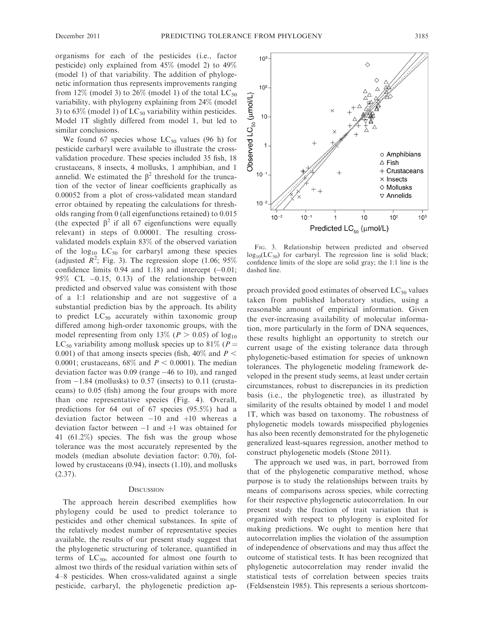organisms for each of the pesticides (i.e., factor pesticide) only explained from 45% (model 2) to 49% (model 1) of that variability. The addition of phylogenetic information thus represents improvements ranging from 12% (model 3) to 26% (model 1) of the total  $LC_{50}$ variability, with phylogeny explaining from 24% (model 3) to 63% (model 1) of  $LC_{50}$  variability within pesticides. Model 1T slightly differed from model 1, but led to similar conclusions.

We found 67 species whose  $LC_{50}$  values (96 h) for pesticide carbaryl were available to illustrate the crossvalidation procedure. These species included 35 fish, 18 crustaceans, 8 insects, 4 mollusks, 1 amphibian, and 1 annelid. We estimated the  $\beta^2$  threshold for the truncation of the vector of linear coefficients graphically as 0.00052 from a plot of cross-validated mean standard error obtained by repeating the calculations for thresholds ranging from 0 (all eigenfunctions retained) to 0.015 (the expected  $\beta^2$  if all 67 eigenfunctions were equally relevant) in steps of 0.00001. The resulting crossvalidated models explain 83% of the observed variation of the  $log_{10}$  LC<sub>50</sub> for carbaryl among these species (adjusted  $R^2$ ; Fig. 3). The regression slope (1.06; 95%) confidence limits  $0.94$  and  $1.18$ ) and intercept  $(-0.01;$ 95% CL -0.15, 0.13) of the relationship between predicted and observed value was consistent with those of a 1:1 relationship and are not suggestive of a substantial prediction bias by the approach. Its ability to predict  $LC_{50}$  accurately within taxonomic group differed among high-order taxonomic groups, with the model representing from only 13% ( $P > 0.05$ ) of log<sub>10</sub> LC<sub>50</sub> variability among mollusk species up to 81\% ( $P =$ 0.001) of that among insects species (fish,  $40\%$  and  $P \leq$ 0.0001; crustaceans, 68% and  $P < 0.0001$ ). The median deviation factor was 0.09 (range -46 to 10), and ranged from -1.84 (mollusks) to 0.57 (insects) to 0.11 (crustaceans) to 0.05 (fish) among the four groups with more than one representative species (Fig. 4). Overall, predictions for 64 out of 67 species (95.5%) had a deviation factor between  $-10$  and  $+10$  whereas a deviation factor between  $-1$  and  $+1$  was obtained for 41 (61.2%) species. The fish was the group whose tolerance was the most accurately represented by the models (median absolute deviation factor: 0.70), followed by crustaceans (0.94), insects (1.10), and mollusks (2.37).

#### **DISCUSSION**

The approach herein described exemplifies how phylogeny could be used to predict tolerance to pesticides and other chemical substances. In spite of the relatively modest number of representative species available, the results of our present study suggest that the phylogenetic structuring of tolerance, quantified in terms of  $LC_{50}$ , accounted for almost one fourth to almost two thirds of the residual variation within sets of 4–8 pesticides. When cross-validated against a single pesticide, carbaryl, the phylogenetic prediction ap-



FIG. 3. Relationship between predicted and observed  $log_{10}(LC_{50})$  for carbaryl. The regression line is solid black; confidence limits of the slope are solid gray; the 1:1 line is the dashed line.

proach provided good estimates of observed  $LC_{50}$  values taken from published laboratory studies, using a reasonable amount of empirical information. Given the ever-increasing availability of molecular information, more particularly in the form of DNA sequences, these results highlight an opportunity to stretch our current usage of the existing tolerance data through phylogenetic-based estimation for species of unknown tolerances. The phylogenetic modeling framework developed in the present study seems, at least under certain circumstances, robust to discrepancies in its prediction basis (i.e., the phylogenetic tree), as illustrated by similarity of the results obtained by model 1 and model 1T, which was based on taxonomy. The robustness of phylogenetic models towards misspecified phylogenies has also been recently demonstrated for the phylogenetic generalized least-squares regression, another method to construct phylogenetic models (Stone 2011).

The approach we used was, in part, borrowed from that of the phylogenetic comparative method, whose purpose is to study the relationships between traits by means of comparisons across species, while correcting for their respective phylogenetic autocorrelation. In our present study the fraction of trait variation that is organized with respect to phylogeny is exploited for making predictions. We ought to mention here that autocorrelation implies the violation of the assumption of independence of observations and may thus affect the outcome of statistical tests. It has been recognized that phylogenetic autocorrelation may render invalid the statistical tests of correlation between species traits (Feldsenstein 1985). This represents a serious shortcom-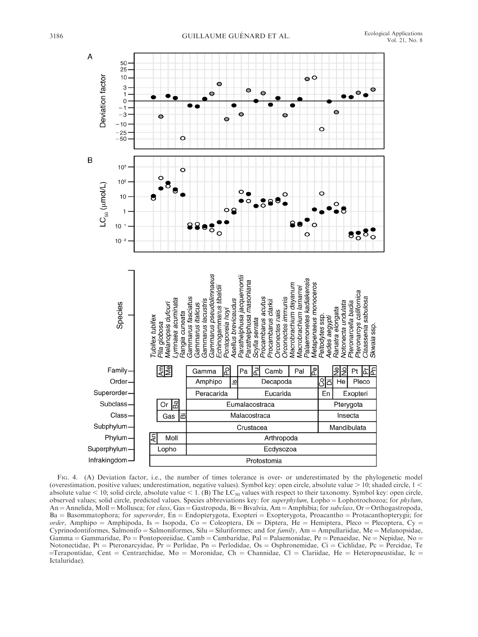

FIG. 4. (A) Deviation factor, i.e., the number of times tolerance is over- or underestimated by the phylogenetic model (overestimation, positive values; underestimation, negative values). Symbol key: open circle, absolute value  $> 10$ ; shaded circle,  $1 <$ absolute value  $\lt 10$ ; solid circle, absolute value  $\lt 1$ . (B) The LC<sub>50</sub> values with respect to their taxonomy. Symbol key: open circle, observed values; solid circle, predicted values. Species abbreviations key: for *superphylum*, Lopho = Lophotrochozoa; for *phylum*,  $An = Annelida, Moll = Mollusca; for *class*,  $Gas = Gastropoda$ ,  $Bi = Bivalvia$ ,  $Am = Amphibia$ ; for *subclass*,  $Or = Orthogastropoda$ ,$  $Ba = Basommatophora$ ; for *superorder*,  $En = Endopterygota$ , Exopteri = Exopterygota, Proacantho = Protacanthopterygii; for order, Amphipo = Amphipoda, Is = Isopoda, Co = Coleoptera, Di = Diptera, He = Hemiptera, Pleco = Plecoptera, Cy = Cyprinodontiformes, Salmonifo = Salmoniformes, Silu = Siluriformes; and for  $family$ , Am = Ampullariidae, Me = Melanopsidae, Gamma = Gammaridae, Po = Pontoporeiidae, Camb = Cambaridae, Pal = Palaemonidae, Pe = Penaeidae, Ne = Nepidae, No = Notonectidae, Pt = Pteronarcyidae, Pr = Perlidae, Pn = Perlodidae, Os = Osphronemidae, Ci = Cichlidae, Pc = Percidae, Te  $=$ Terapontidae, Cent  $=$  Centrarchidae, Mo  $=$  Moronidae, Ch  $=$  Channidae, Cl  $=$  Clariidae, He  $=$  Heteropneustidae, Ic  $=$ Ictaluridae).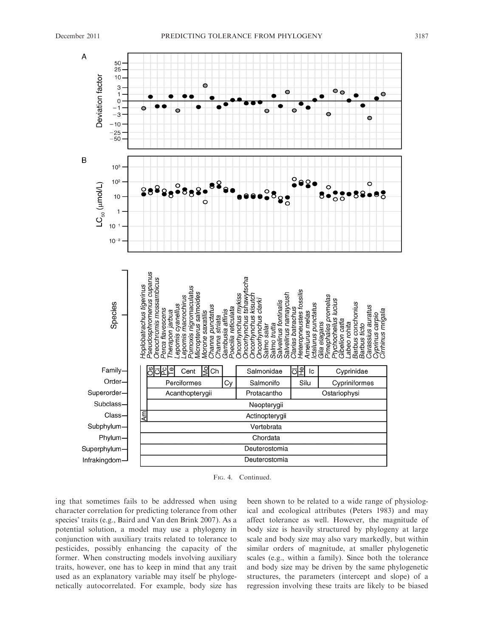

FIG. 4. Continued.

ing that sometimes fails to be addressed when using character correlation for predicting tolerance from other species' traits (e.g., Baird and Van den Brink 2007). As a potential solution, a model may use a phylogeny in conjunction with auxiliary traits related to tolerance to pesticides, possibly enhancing the capacity of the former. When constructing models involving auxiliary traits, however, one has to keep in mind that any trait used as an explanatory variable may itself be phylogenetically autocorrelated. For example, body size has been shown to be related to a wide range of physiological and ecological attributes (Peters 1983) and may affect tolerance as well. However, the magnitude of body size is heavily structured by phylogeny at large scale and body size may also vary markedly, but within similar orders of magnitude, at smaller phylogenetic scales (e.g., within a family). Since both the tolerance and body size may be driven by the same phylogenetic structures, the parameters (intercept and slope) of a regression involving these traits are likely to be biased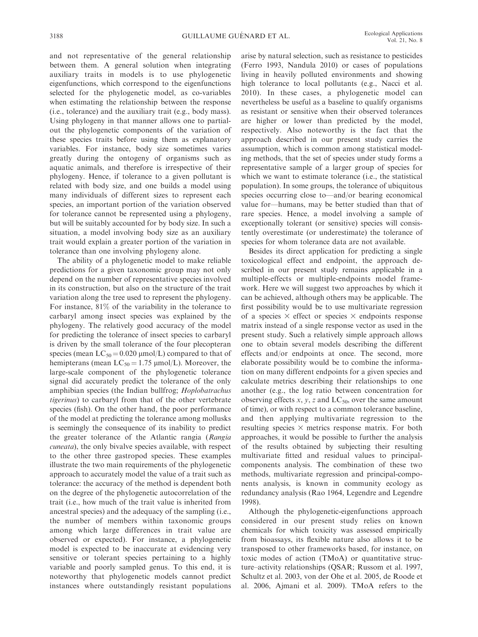and not representative of the general relationship between them. A general solution when integrating auxiliary traits in models is to use phylogenetic eigenfunctions, which correspond to the eigenfunctions selected for the phylogenetic model, as co-variables when estimating the relationship between the response (i.e., tolerance) and the auxiliary trait (e.g., body mass). Using phylogeny in that manner allows one to partialout the phylogenetic components of the variation of these species traits before using them as explanatory variables. For instance, body size sometimes varies greatly during the ontogeny of organisms such as aquatic animals, and therefore is irrespective of their phylogeny. Hence, if tolerance to a given pollutant is related with body size, and one builds a model using many individuals of different sizes to represent each species, an important portion of the variation observed for tolerance cannot be represented using a phylogeny, but will be suitably accounted for by body size. In such a situation, a model involving body size as an auxiliary trait would explain a greater portion of the variation in tolerance than one involving phylogeny alone.

The ability of a phylogenetic model to make reliable predictions for a given taxonomic group may not only depend on the number of representative species involved in its construction, but also on the structure of the trait variation along the tree used to represent the phylogeny. For instance, 81% of the variability in the tolerance to carbaryl among insect species was explained by the phylogeny. The relatively good accuracy of the model for predicting the tolerance of insect species to carbaryl is driven by the small tolerance of the four plecopteran species (mean  $LC_{50} = 0.020 \mu \text{mol/L}$ ) compared to that of hemipterans (mean  $LC_{50} = 1.75 \text{ }\mu\text{mol/L}$ ). Moreover, the large-scale component of the phylogenetic tolerance signal did accurately predict the tolerance of the only amphibian species (the Indian bullfrog; Hoplobatrachus tigerinus) to carbaryl from that of the other vertebrate species (fish). On the other hand, the poor performance of the model at predicting the tolerance among mollusks is seemingly the consequence of its inability to predict the greater tolerance of the Atlantic rangia (Rangia cuneata), the only bivalve species available, with respect to the other three gastropod species. These examples illustrate the two main requirements of the phylogenetic approach to accurately model the value of a trait such as tolerance: the accuracy of the method is dependent both on the degree of the phylogenetic autocorrelation of the trait (i.e., how much of the trait value is inherited from ancestral species) and the adequacy of the sampling (i.e., the number of members within taxonomic groups among which large differences in trait value are observed or expected). For instance, a phylogenetic model is expected to be inaccurate at evidencing very sensitive or tolerant species pertaining to a highly variable and poorly sampled genus. To this end, it is noteworthy that phylogenetic models cannot predict instances where outstandingly resistant populations arise by natural selection, such as resistance to pesticides (Ferro 1993, Nandula 2010) or cases of populations living in heavily polluted environments and showing high tolerance to local pollutants (e.g., Nacci et al. 2010). In these cases, a phylogenetic model can nevertheless be useful as a baseline to qualify organisms as resistant or sensitive when their observed tolerances are higher or lower than predicted by the model, respectively. Also noteworthy is the fact that the approach described in our present study carries the assumption, which is common among statistical modeling methods, that the set of species under study forms a representative sample of a larger group of species for which we want to estimate tolerance (i.e., the statistical population). In some groups, the tolerance of ubiquitous species occurring close to—and/or bearing economical value for—humans, may be better studied than that of rare species. Hence, a model involving a sample of exceptionally tolerant (or sensitive) species will consistently overestimate (or underestimate) the tolerance of species for whom tolerance data are not available.

Besides its direct application for predicting a single toxicological effect and endpoint, the approach described in our present study remains applicable in a multiple-effects or multiple-endpoints model framework. Here we will suggest two approaches by which it can be achieved, although others may be applicable. The first possibility would be to use multivariate regression of a species  $\times$  effect or species  $\times$  endpoints response matrix instead of a single response vector as used in the present study. Such a relatively simple approach allows one to obtain several models describing the different effects and/or endpoints at once. The second, more elaborate possibility would be to combine the information on many different endpoints for a given species and calculate metrics describing their relationships to one another (e.g., the log ratio between concentration for observing effects x, y, z and  $LC_{50}$ , over the same amount of time), or with respect to a common tolerance baseline, and then applying multivariate regression to the resulting species  $\times$  metrics response matrix. For both approaches, it would be possible to further the analysis of the results obtained by subjecting their resulting multivariate fitted and residual values to principalcomponents analysis. The combination of these two methods, multivariate regression and principal-components analysis, is known in community ecology as redundancy analysis (Rao 1964, Legendre and Legendre 1998).

Although the phylogenetic-eigenfunctions approach considered in our present study relies on known chemicals for which toxicity was assessed empirically from bioassays, its flexible nature also allows it to be transposed to other frameworks based, for instance, on toxic modes of action (TMoA) or quantitative structure–activity relationships (QSAR; Russom et al. 1997, Schultz et al. 2003, von der Ohe et al. 2005, de Roode et al. 2006, Ajmani et al. 2009). TMoA refers to the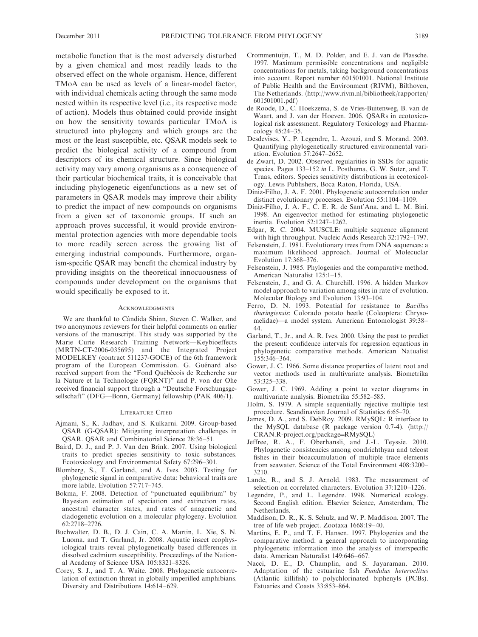metabolic function that is the most adversely disturbed by a given chemical and most readily leads to the observed effect on the whole organism. Hence, different TMoA can be used as levels of a linear-model factor, with individual chemicals acting through the same mode nested within its respective level (i.e., its respective mode of action). Models thus obtained could provide insight on how the sensitivity towards particular TMoA is structured into phylogeny and which groups are the most or the least susceptible, etc. QSAR models seek to predict the biological activity of a compound from descriptors of its chemical structure. Since biological activity may vary among organisms as a consequence of their particular biochemical traits, it is conceivable that including phylogenetic eigenfunctions as a new set of parameters in QSAR models may improve their ability to predict the impact of new compounds on organisms from a given set of taxonomic groups. If such an approach proves successful, it would provide environmental protection agencies with more dependable tools to more readily screen across the growing list of emerging industrial compounds. Furthermore, organism-specific QSAR may benefit the chemical industry by providing insights on the theoretical innocuousness of compounds under development on the organisms that would specifically be exposed to it.

#### **ACKNOWLEDGMENTS**

We are thankful to Cândida Shinn, Steven C. Walker, and two anonymous reviewers for their helpful comments on earlier versions of the manuscript. This study was supported by the Marie Curie Research Training Network—Keybioeffects (MRTN-CT-2006-035695) and the Integrated Project MODELKEY (contract 511237-GOCE) of the 6th framework program of the European Commission. G. Guénard also received support from the "Fond Québécois de Recherche sur la Nature et la Technologie (FQRNT)'' and P. von der Ohe received financial support through a ''Deutsche Forschungsgesellschaft'' (DFG—Bonn, Germany) fellowship (PAK 406/1).

## LITERATURE CITED

- Ajmani, S., K. Jadhav, and S. Kulkarni. 2009. Group-based QSAR (G-QSAR): Mitigating interpretation challenges in QSAR. QSAR and Combinatorial Science 28:36–51.
- Baird, D. J., and P. J. Van den Brink. 2007. Using biological traits to predict species sensitivity to toxic substances. Ecotoxicology and Environmental Safety 67:296–301.
- Blomberg, S., T. Garland, and A. Ives. 2003. Testing for phylogenetic signal in comparative data: behavioral traits are more labile. Evolution 57:717–745.
- Bokma, F. 2008. Detection of ''punctuated equilibrium'' by Bayesian estimation of speciation and extinction rates, ancestral character states, and rates of anagenetic and cladogenetic evolution on a molecular phylogeny. Evolution 62:2718–2726.
- Buchwalter, D. B., D. J. Cain, C. A. Martin, L. Xie, S. N. Luoma, and T. Garland, Jr. 2008. Aquatic insect ecophysiological traits reveal phylogenetically based differences in dissolved cadmium susceptibility. Proceedings of the National Academy of Science USA 105:8321–8326.
- Corey, S. J., and T. A. Waite. 2008. Phylogenetic autocorrelation of extinction threat in globally imperilled amphibians. Diversity and Distributions 14:614–629.
- Crommentuijn, T., M. D. Polder, and E. J. van de Plassche. 1997. Maximum permissible concentrations and negligible concentrations for metals, taking background concentrations into account. Report number 601501001. National Institute of Public Health and the Environment (RIVM), Bilthoven, The Netherlands.  $\langle$ http://www.rivm.nl/bibliotheek/rapporten/  $601501001.pdf$
- de Roode, D., C. Hoekzema, S. de Vries-Buitenweg, B. van de Waart, and J. van der Hoeven. 2006. QSARs in ecotoxicological risk assessment. Regulatory Toxicology and Pharmacology 45:24–35.
- Desdevises, Y., P. Legendre, L. Azouzi, and S. Morand. 2003. Quantifying phylogenetically structured environmental variation. Evolution 57:2647–2652.
- de Zwart, D. 2002. Observed regularities in SSDs for aquatic species. Pages 133–152 in L. Posthuma, G. W. Suter, and T. Traas, editors. Species sensitivity distributions in ecotoxicology. Lewis Publishers, Boca Raton, Florida, USA.
- Diniz-Filho, J. A. F. 2001. Phylogenetic autocorrelation under distinct evolutionary processes. Evolution 55:1104–1109.
- Diniz-Filho, J. A. F., C. E. R. de Sant'Ana, and L. M. Bini. 1998. An eigenvector method for estimating phylogenetic inertia. Evolution 52:1247–1262.
- Edgar, R. C. 2004. MUSCLE: multiple sequence alignment with high throughput. Nucleic Acids Research 32:1792–1797.
- Felsenstein, J. 1981. Evolutionary trees from DNA sequences: a maximum likelihood approach. Journal of Molecuclar Evolution 17:368–376.
- Felsenstein, J. 1985. Phylogenies and the comparative method. American Naturalist 125:1–15.
- Felsenstein, J., and G. A. Churchill. 1996. A hidden Markov model approach to variation among sites in rate of evolution. Molecular Biology and Evolution 13:93–104.
- Ferro, D. N. 1993. Potential for resistance to Bacillus thuringiensis: Colorado potato beetle (Coleoptera: Chrysomelidae)—a model system. American Entomologist 39:38– 44.
- Garland, T., Jr., and A. R. Ives. 2000. Using the past to predict the present: confidence intervals for regression equations in phylogenetic comparative methods. American Natualist 155:346–364.
- Gower, J. C. 1966. Some distance properties of latent root and vector methods used in multivariate analysis. Biometrika 53:325–338.
- Gower, J. C. 1969. Adding a point to vector diagrams in multivariate analysis. Biometrika 55:582–585.
- Holm, S. 1979. A simple sequentially rejective multiple test procedure. Scandinavian Journal of Statistics 6:65–70.
- James, D. A., and S. DebRoy. 2009. RMySQL: R interface to the MySQL database (R package version  $0.7-4$ ).  $\langle \text{http://} \rangle$ CRAN.R-project.org/package=RMySQL)
- Jeffree, R. A., F. Oberhansli, and J.-L. Teyssie. 2010. Phylogenetic consistencies among condrichthyan and teleost fishes in their bioaccumulation of multiple trace elements from seawater. Science of the Total Environment 408:3200– 3210.
- Lande, R., and S. J. Arnold. 1983. The measurement of selection on correlated characters. Evolution 37:1210–1226.
- Legendre, P., and L. Legendre. 1998. Numerical ecology. Second English edition. Elsevier Science, Amsterdam, The Netherlands.
- Maddison, D. R., K. S. Schulz, and W. P. Maddison. 2007. The tree of life web project. Zootaxa 1668:19–40.
- Martins, E. P., and T. F. Hansen. 1997. Phylogenies and the comparative method: a general approach to incorporating phylogenetic information into the analysis of interspecific data. American Naturalist 149:646–667.
- Nacci, D. E., D. Champlin, and S. Jayaraman. 2010. Adaptation of the estuarine fish Fundulus heteroclitus (Atlantic killifish) to polychlorinated biphenyls (PCBs). Estuaries and Coasts 33:853–864.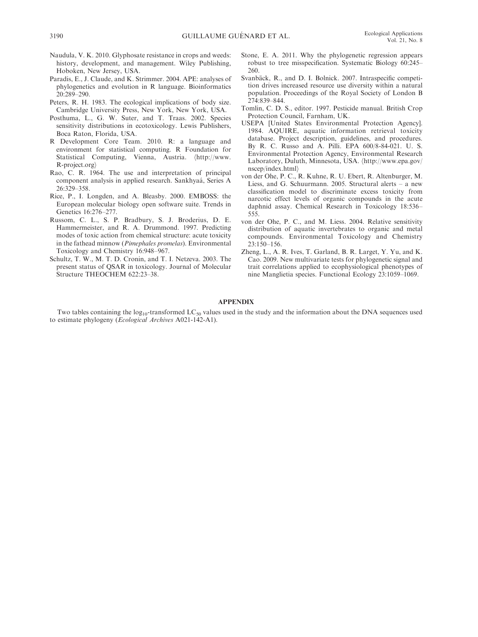- Naudula, V. K. 2010. Glyphosate resistance in crops and weeds: history, development, and management. Wiley Publishing, Hoboken, New Jersey, USA.
- Paradis, E., J. Claude, and K. Strimmer. 2004. APE: analyses of phylogenetics and evolution in R language. Bioinformatics 20:289–290.
- Peters, R. H. 1983. The ecological implications of body size. Cambridge University Press, New York, New York, USA.
- Posthuma, L., G. W. Suter, and T. Traas. 2002. Species sensitivity distributions in ecotoxicology. Lewis Publishers, Boca Raton, Florida, USA.
- R Development Core Team. 2010. R: a language and environment for statistical computing. R Foundation for Statistical Computing, Vienna, Austria. (http://www. R-project.org)
- Rao, C. R. 1964. The use and interpretation of principal component analysis in applied research. Sankhyaa´, Series A 26:329–358.
- Rice, P., I. Longden, and A. Bleasby. 2000. EMBOSS: the European molecular biology open software suite. Trends in Genetics 16:276–277.
- Russom, C. L., S. P. Bradbury, S. J. Broderius, D. E. Hammermeister, and R. A. Drummond. 1997. Predicting modes of toxic action from chemical structure: acute toxicity in the fathead minnow (Pimephales promelas). Environmental Toxicology and Chemistry 16:948–967.
- Schultz, T. W., M. T. D. Cronin, and T. I. Netzeva. 2003. The present status of QSAR in toxicology. Journal of Molecular Structure THEOCHEM 622:23–38.
- Stone, E. A. 2011. Why the phylogenetic regression appears robust to tree misspecification. Systematic Biology 60:245– 260.
- Svanbäck, R., and D. I. Bolnick. 2007. Intraspecific competition drives increased resource use diversity within a natural population. Proceedings of the Royal Society of London B 274:839–844.
- Tomlin, C. D. S., editor. 1997. Pesticide manual. British Crop Protection Council, Farnham, UK.
- USEPA [United States Environmental Protection Agency]. 1984. AQUIRE, aquatic information retrieval toxicity database. Project description, guidelines, and procedures. By R. C. Russo and A. Pilli. EPA 600/8-84-021. U. S. Environmental Protection Agency, Environmental Research Laboratory, Duluth, Minnesota, USA. (http://www.epa.gov/  $n$ scep/index.html $\rangle$
- von der Ohe, P. C., R. Kuhne, R. U. Ebert, R. Altenburger, M. Liess, and G. Schuurmann. 2005. Structural alerts – a new classification model to discriminate excess toxicity from narcotic effect levels of organic compounds in the acute daphnid assay. Chemical Research in Toxicology 18:536– 555.
- von der Ohe, P. C., and M. Liess. 2004. Relative sensitivity distribution of aquatic invertebrates to organic and metal compounds. Environmental Toxicology and Chemistry 23:150–156.
- Zheng, L., A. R. Ives, T. Garland, B. R. Larget, Y. Yu, and K. Cao. 2009. New multivariate tests for phylogenetic signal and trait correlations applied to ecophysiological phenotypes of nine Manglietia species. Functional Ecology 23:1059–1069.

## APPENDIX

Two tables containing the  $\log_{10}$ -transformed LC<sub>50</sub> values used in the study and the information about the DNA sequences used to estimate phylogeny (Ecological Archives A021-142-A1).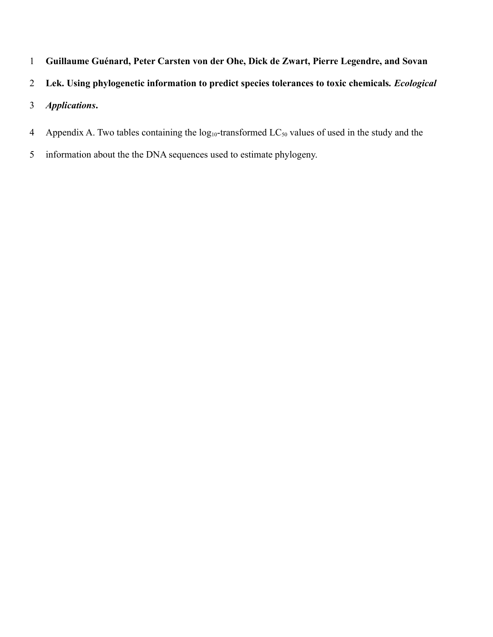- **Guillaume Guénard, Peter Carsten von der Ohe, Dick de Zwart, Pierre Legendre, and Sovan** 1
- **Lek. Using phylogenetic information to predict species tolerances to toxic chemicals***. Ecological* 2
- *Applications***.** 3
- Appendix A. Two tables containing the  $log_{10}$ -transformed  $LC_{50}$  values of used in the study and the 4
- information about the the DNA sequences used to estimate phylogeny. 5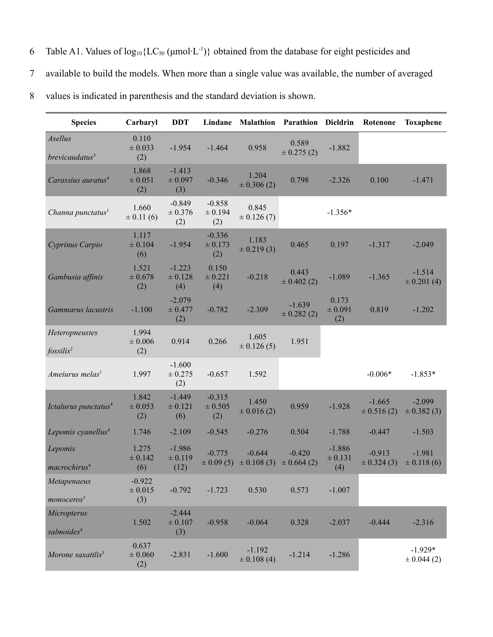- Table A1. Values of  $log_{10}$ {LC<sub>50</sub> (µmol⋅L<sup>-1</sup>)} obtained from the database for eight pesticides and 6
- available to build the models. When more than a single value was available, the number of averaged 7

|  | 8 values is indicated in parenthesis and the standard deviation is shown. |
|--|---------------------------------------------------------------------------|
|--|---------------------------------------------------------------------------|

| <b>Species</b>                             | Carbaryl                        | <b>DDT</b>                      | Lindane                        | <b>Malathion</b>            | Parathion                   | <b>Dieldrin</b>             | Rotenone                    | <b>Toxaphene</b>             |
|--------------------------------------------|---------------------------------|---------------------------------|--------------------------------|-----------------------------|-----------------------------|-----------------------------|-----------------------------|------------------------------|
| Asellus<br>brevicaudatus <sup>3</sup>      | 0.110<br>± 0.033<br>(2)         | $-1.954$                        | $-1.464$                       | 0.958                       | 0.589<br>$\pm$ 0.275 (2)    | $-1.882$                    |                             |                              |
| Carassius auratus <sup>4</sup>             | 1.868<br>± 0.051<br>(2)         | $-1.413$<br>$\pm$ 0.097<br>(3)  | $-0.346$                       | 1.204<br>$\pm 0.306(2)$     | 0.798                       | $-2.326$                    | 0.100                       | $-1.471$                     |
| Channa punctatus <sup>1</sup>              | 1.660<br>$\pm$ 0.11 (6)         | $-0.849$<br>± 0.376<br>(2)      | $-0.858$<br>± 0.194<br>(2)     | 0.845<br>$\pm 0.126(7)$     |                             | $-1.356*$                   |                             |                              |
| Cyprinus Carpio                            | 1.117<br>± 0.104<br>(6)         | $-1.954$                        | $-0.336$<br>± 0.173<br>(2)     | 1.183<br>$\pm$ 0.219 (3)    | 0.465                       | 0.197                       | $-1.317$                    | $-2.049$                     |
| Gambusia affinis                           | 1.521<br>± 0.678<br>(2)         | $-1.223$<br>$\pm 0.128$<br>(4)  | 0.150<br>± 0.221<br>(4)        | $-0.218$                    | 0.443<br>$\pm 0.402(2)$     | $-1.089$                    | $-1.365$                    | $-1.514$<br>$\pm$ 0.201 (4)  |
| Gammarus lacustris                         | $-1.100$                        | $-2.079$<br>± 0.477<br>(2)      | $-0.782$                       | $-2.309$                    | $-1.639$<br>$\pm$ 0.282 (2) | 0.173<br>$\pm 0.091$<br>(2) | 0.819                       | $-1.202$                     |
| Heteropneustes<br>$f$ ossilis <sup>2</sup> | 1.994<br>$\pm$ 0.006<br>(2)     | 0.914                           | 0.266                          | 1.605<br>$\pm 0.126(5)$     | 1.951                       |                             |                             |                              |
| Ameiurus melas <sup>1</sup>                | 1.997                           | $-1.600$<br>± 0.275<br>(2)      | $-0.657$                       | 1.592                       |                             |                             | $-0.006*$                   | $-1.853*$                    |
| Ictalurus punctatus <sup>4</sup>           | 1.842<br>± 0.053<br>(2)         | $-1.449$<br>± 0.121<br>(6)      | $-0.315$<br>$\pm 0.505$<br>(2) | 1.450<br>$\pm 0.016(2)$     | 0.959                       | $-1.928$                    | $-1.665$<br>$\pm 0.516(2)$  | $-2.099$<br>$\pm$ 0.382 (3)  |
| Lepomis cyanellus <sup>4</sup>             | 1.746                           | $-2.109$                        | $-0.545$                       | $-0.276$                    | 0.504                       | $-1.788$                    | $-0.447$                    | $-1.503$                     |
| Lepomis<br>macrochirus <sup>4</sup>        | 1.275<br>$\pm 0.142$<br>(6)     | $-1.986$<br>$\pm 0.119$<br>(12) | $-0.775$<br>$\pm 0.09(5)$      | $-0.644$<br>$\pm 0.108(3)$  | $-0.420$<br>$\pm 0.664(2)$  | $-1.886$<br>± 0.131<br>(4)  | $-0.913$<br>$\pm$ 0.324 (3) | $-1.981$<br>$\pm$ 0.118 (6)  |
| Metapenaeus<br>monoceros <sup>3</sup>      | $-0.922$<br>$\pm\,0.015$<br>(3) | $-0.792$                        | $-1.723$                       | 0.530                       | 0.573                       | $-1.007$                    |                             |                              |
| Micropterus<br>salmoides <sup>4</sup>      | 1.502                           | $-2.444$<br>$\pm$ 0.107<br>(3)  | $-0.958$                       | $-0.064$                    | 0.328                       | $-2.037$                    | $-0.444$                    | $-2.316$                     |
| Morone saxatilis <sup>3</sup>              | 0.637<br>$\pm 0.060$<br>(2)     | $-2.831$                        | $-1.600$                       | $-1.192$<br>$\pm$ 0.108 (4) | $-1.214$                    | $-1.286$                    |                             | $-1.929*$<br>$\pm$ 0.044 (2) |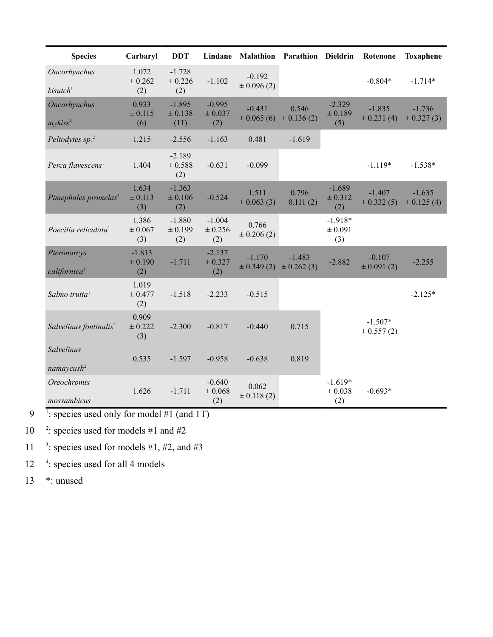| <b>Species</b>                          | Carbaryl                   | <b>DDT</b>                     |                                | Lindane Malathion Parathion Dieldrin |                             |                                 | Rotenone                     | <b>Toxaphene</b>            |
|-----------------------------------------|----------------------------|--------------------------------|--------------------------------|--------------------------------------|-----------------------------|---------------------------------|------------------------------|-----------------------------|
| Oncorhynchus<br>kisutch <sup>1</sup>    | 1.072<br>± 0.262<br>(2)    | $-1.728$<br>± 0.226<br>(2)     | $-1.102$                       | $-0.192$<br>$\pm 0.096(2)$           |                             |                                 | $-0.804*$                    | $-1.714*$                   |
| Oncorhynchus<br>mykiss <sup>4</sup>     | 0.933<br>± 0.115<br>(6)    | $-1.895$<br>± 0.138<br>(11)    | $-0.995$<br>± 0.037<br>(2)     | $-0.431$<br>$\pm 0.065(6)$           | 0.546<br>$\pm 0.136(2)$     | $-2.329$<br>± 0.189<br>(5)      | $-1.835$<br>$\pm$ 0.231 (4)  | $-1.736$<br>$\pm$ 0.327 (3) |
| Peltodytes sp. <sup>2</sup>             | 1.215                      | $-2.556$                       | $-1.163$                       | 0.481                                | $-1.619$                    |                                 |                              |                             |
| Perca flavescens <sup>1</sup>           | 1.404                      | $-2.189$<br>$\pm 0.588$<br>(2) | $-0.631$                       | $-0.099$                             |                             |                                 | $-1.119*$                    | $-1.538*$                   |
| Pimephales promelas <sup>4</sup>        | 1.634<br>± 0.113<br>(3)    | $-1.363$<br>$\pm$ 0.106<br>(2) | $-0.524$                       | 1.511<br>$\pm 0.063(3)$              | 0.796<br>$\pm$ 0.111 (2)    | $-1.689$<br>± 0.312<br>(2)      | $-1.407$<br>$\pm$ 0.332 (5)  | $-1.635$<br>$\pm$ 0.125 (4) |
| Poecilia reticulata <sup>1</sup>        | 1.386<br>± 0.067<br>(3)    | $-1.880$<br>± 0.199<br>(2)     | $-1.004$<br>± 0.256<br>(2)     | 0.766<br>$\pm$ 0.206 (2)             |                             | $-1.918*$<br>± 0.091<br>(3)     |                              |                             |
| Pteronarcys<br>californica <sup>4</sup> | $-1.813$<br>± 0.190<br>(2) | $-1.711$                       | $-2.137$<br>± 0.327<br>(2)     | $-1.170$<br>$\pm$ 0.349 (2)          | $-1.483$<br>$\pm$ 0.262 (3) | $-2.882$                        | $-0.107$<br>$\pm 0.091(2)$   | $-2.255$                    |
| Salmo trutta <sup>1</sup>               | 1.019<br>± 0.477<br>(2)    | $-1.518$                       | $-2.233$                       | $-0.515$                             |                             |                                 |                              | $-2.125*$                   |
| Salvelinus fontinalis <sup>2</sup>      | 0.909<br>± 0.222<br>(3)    | $-2.300$                       | $-0.817$                       | $-0.440$                             | 0.715                       |                                 | $-1.507*$<br>$\pm$ 0.557 (2) |                             |
| Salvelinus<br>namaycush <sup>2</sup>    | 0.535                      | $-1.597$                       | $-0.958$                       | $-0.638$                             | 0.819                       |                                 |                              |                             |
| Oreochromis<br>mossambicus <sup>1</sup> | 1.626                      | $-1.711$                       | $-0.640$<br>$\pm 0.068$<br>(2) | 0.062<br>$\pm$ 0.118 (2)             |                             | $-1.619*$<br>$\pm 0.038$<br>(2) | $-0.693*$                    |                             |

<sup>1</sup>: species used only for model #1 (and 1T) 9

2 : species used for models #1 and #2 10

<sup>3</sup>: species used for models  $\#1, \#2,$  and  $\#3$ 11

4 : species used for all 4 models 12

\*: unused 13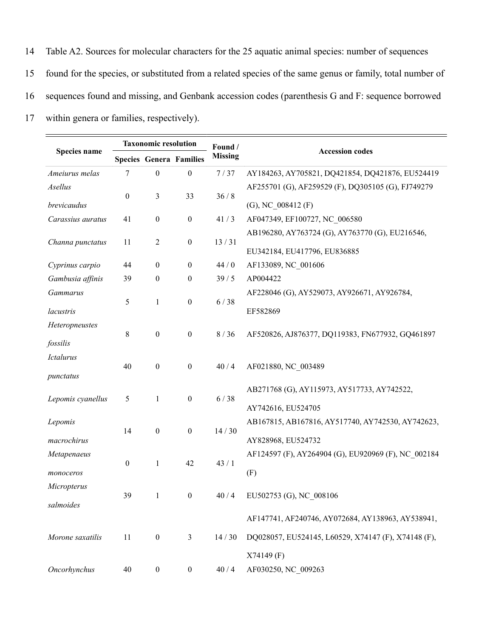- Table A2. Sources for molecular characters for the 25 aquatic animal species: number of sequences 14
- found for the species, or substituted from a related species of the same genus or family, total number of 15
- sequences found and missing, and Genbank accession codes (parenthesis G and F: sequence borrowed 16
- within genera or families, respectively). 17

| Species name             |                  | <b>Taxonomic resolution</b> |                                | Found /<br><b>Missing</b> | <b>Accession codes</b>                              |  |  |
|--------------------------|------------------|-----------------------------|--------------------------------|---------------------------|-----------------------------------------------------|--|--|
|                          |                  |                             | <b>Species Genera Families</b> |                           |                                                     |  |  |
| Ameiurus melas           | 7                | $\boldsymbol{0}$            | $\boldsymbol{0}$               | 7/37                      | AY184263, AY705821, DQ421854, DQ421876, EU524419    |  |  |
| Asellus                  |                  |                             |                                |                           | AF255701 (G), AF259529 (F), DQ305105 (G), FJ749279  |  |  |
| brevicaudus              | $\boldsymbol{0}$ | 3                           | 33                             | 36/8                      | $(G)$ , NC 008412 $(F)$                             |  |  |
| Carassius auratus        | 41               | $\boldsymbol{0}$            | $\boldsymbol{0}$               | 41/3                      | AF047349, EF100727, NC 006580                       |  |  |
| Channa punctatus         | 11               | $\sqrt{2}$                  | $\boldsymbol{0}$               | 13/31                     | AB196280, AY763724 (G), AY763770 (G), EU216546,     |  |  |
|                          |                  |                             |                                |                           | EU342184, EU417796, EU836885                        |  |  |
| Cyprinus carpio          | 44               | $\boldsymbol{0}$            | $\boldsymbol{0}$               | 44/0                      | AF133089, NC 001606                                 |  |  |
| Gambusia affinis         | 39               | $\boldsymbol{0}$            | $\boldsymbol{0}$               | 39/5                      | AP004422                                            |  |  |
| Gammarus                 |                  |                             |                                |                           | AF228046 (G), AY529073, AY926671, AY926784,         |  |  |
| lacustris                | 5                | $\mathbf{1}$                | $\boldsymbol{0}$               | $6/38$                    | EF582869                                            |  |  |
| Heteropneustes           | 8                | $\boldsymbol{0}$            | $\boldsymbol{0}$               | 8/36                      | AF520826, AJ876377, DQ119383, FN677932, GQ461897    |  |  |
| fossilis                 |                  |                             |                                |                           |                                                     |  |  |
| Ictalurus                | 40               | $\boldsymbol{0}$            | $\boldsymbol{0}$               | 40/4                      | AF021880, NC 003489                                 |  |  |
| punctatus                |                  |                             |                                |                           |                                                     |  |  |
|                          |                  |                             |                                |                           | AB271768 (G), AY115973, AY517733, AY742522,         |  |  |
| Lepomis cyanellus        | 5                | $\mathbf{1}$                | $\boldsymbol{0}$               | $6/38$                    | AY742616, EU524705                                  |  |  |
| Lepomis                  |                  |                             |                                |                           | AB167815, AB167816, AY517740, AY742530, AY742623,   |  |  |
| macrochirus              | 14               | $\boldsymbol{0}$            | $\boldsymbol{0}$               | 14/30                     | AY828968, EU524732                                  |  |  |
| Metapenaeus              |                  |                             |                                |                           | AF124597 (F), AY264904 (G), EU920969 (F), NC_002184 |  |  |
|                          | $\boldsymbol{0}$ | 1                           | 42                             | 43/1                      |                                                     |  |  |
| monoceros<br>Micropterus |                  |                             |                                |                           | (F)                                                 |  |  |
|                          | 39               | $\mathbf{1}$                | $\boldsymbol{0}$               | 40/4                      | EU502753 (G), NC 008106                             |  |  |
| salmoides                |                  |                             |                                |                           |                                                     |  |  |
|                          |                  |                             |                                |                           | AF147741, AF240746, AY072684, AY138963, AY538941,   |  |  |
| Morone saxatilis         | 11               | $\boldsymbol{0}$            | $\mathfrak{Z}$                 | 14/30                     | DQ028057, EU524145, L60529, X74147 (F), X74148 (F), |  |  |
|                          |                  |                             |                                |                           | X74149 (F)                                          |  |  |
| Oncorhynchus             | 40               | $\boldsymbol{0}$            | $\boldsymbol{0}$               | 40/4                      | AF030250, NC 009263                                 |  |  |